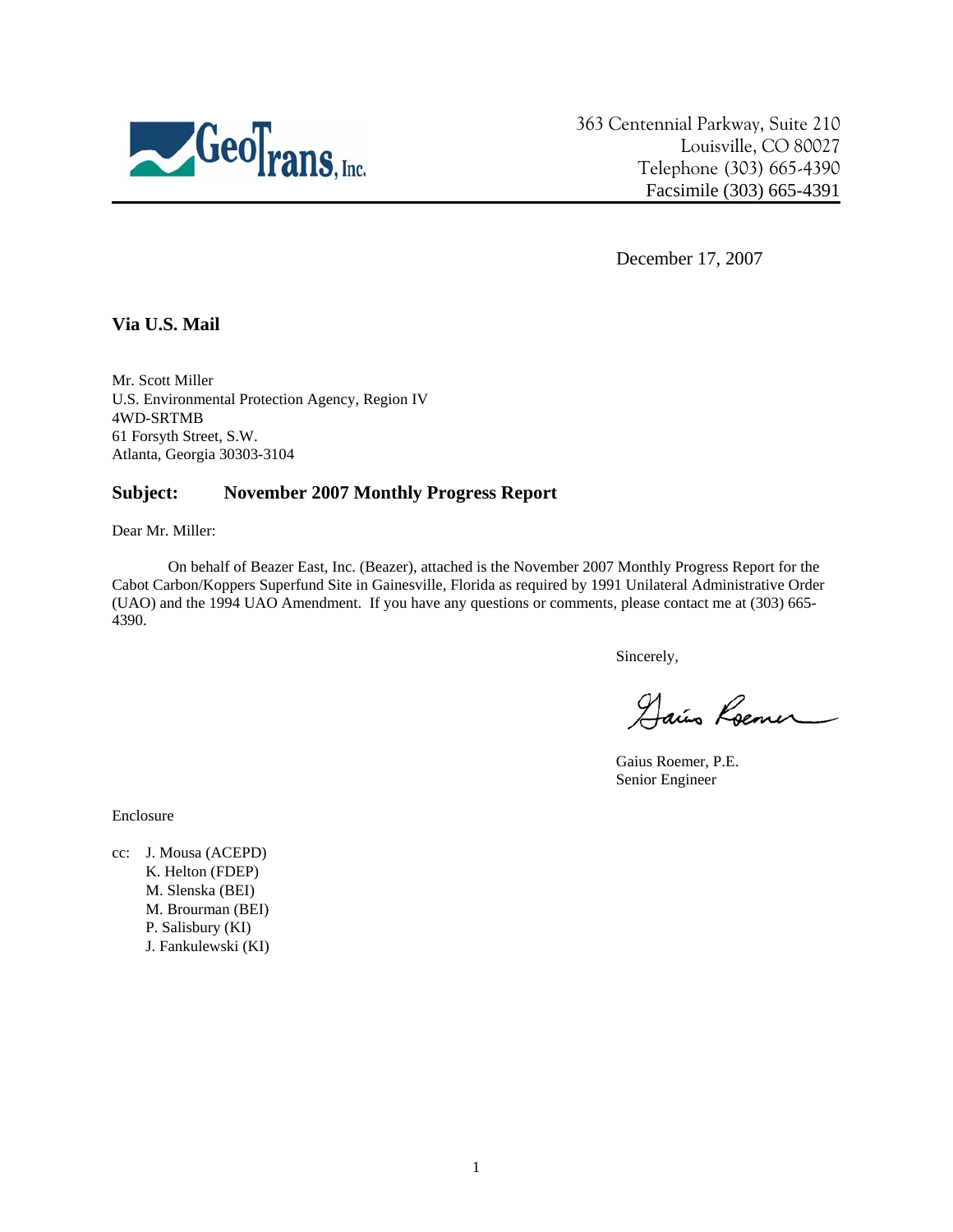

363 Centennial Parkway, Suite 210 Louisville, CO 80027 Telephone (303) 665-4390 Facsimile (303) 665-4391

December 17, 2007

# **Via U.S. Mail**

Mr. Scott Miller U.S. Environmental Protection Agency, Region IV 4WD-SRTMB 61 Forsyth Street, S.W. Atlanta, Georgia 30303-3104

#### **Subject: November 2007 Monthly Progress Report**

Dear Mr. Miller:

On behalf of Beazer East, Inc. (Beazer), attached is the November 2007 Monthly Progress Report for the Cabot Carbon/Koppers Superfund Site in Gainesville, Florida as required by 1991 Unilateral Administrative Order (UAO) and the 1994 UAO Amendment. If you have any questions or comments, please contact me at (303) 665- 4390.

Sincerely,

Dais Roemer

Gaius Roemer, P.E. Senior Engineer

Enclosure

cc: J. Mousa (ACEPD) K. Helton (FDEP) M. Slenska (BEI) M. Brourman (BEI) P. Salisbury (KI) J. Fankulewski (KI)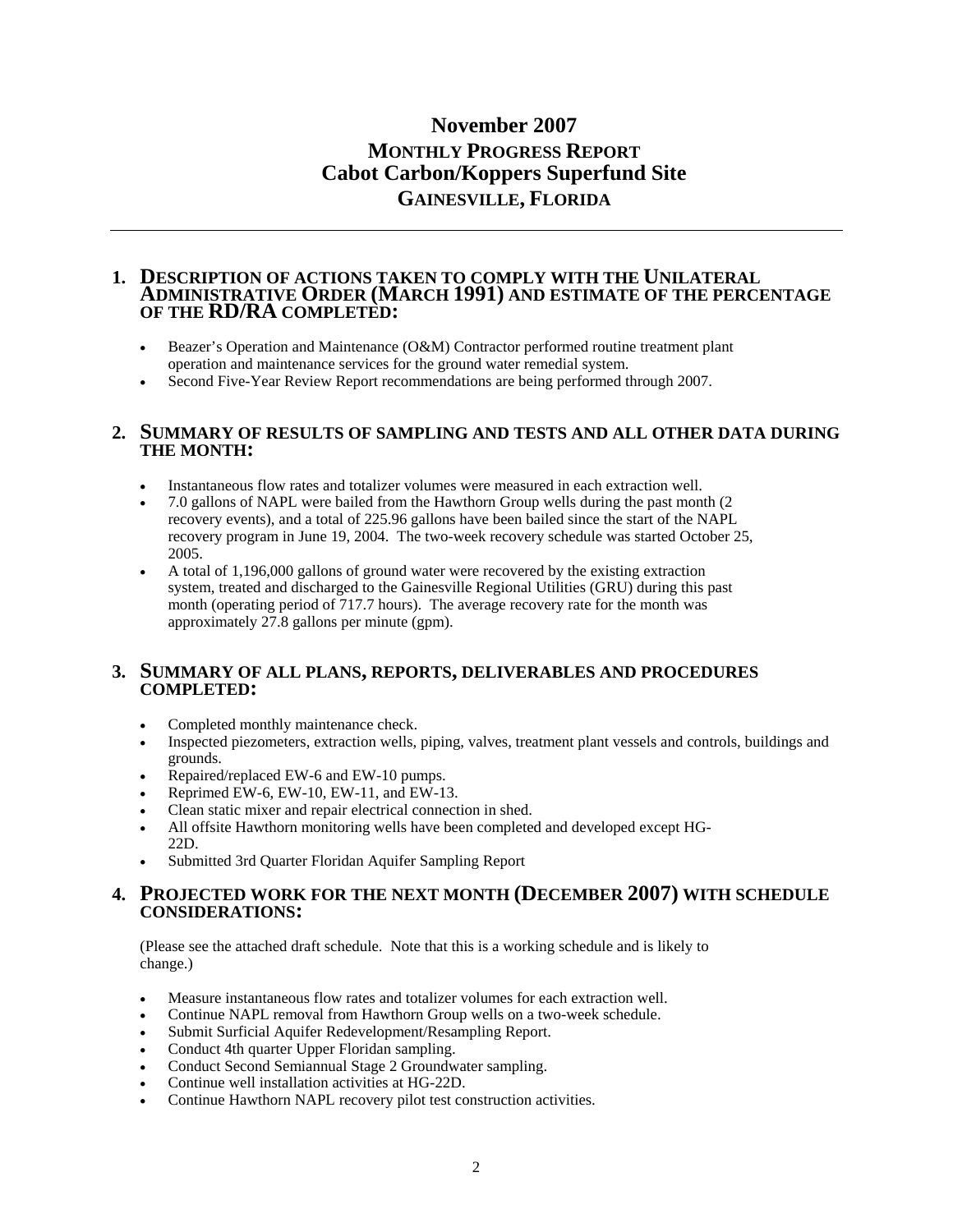# **November 2007 MONTHLY PROGRESS REPORT Cabot Carbon/Koppers Superfund Site GAINESVILLE, FLORIDA**

#### **1. DESCRIPTION OF ACTIONS TAKEN TO COMPLY WITH THE UNILATERAL ADMINISTRATIVE ORDER (MARCH 1991) AND ESTIMATE OF THE PERCENTAGE OF THE RD/RA COMPLETED:**

- Beazer's Operation and Maintenance (O&M) Contractor performed routine treatment plant operation and maintenance services for the ground water remedial system.
- Second Five-Year Review Report recommendations are being performed through 2007.

#### **2. SUMMARY OF RESULTS OF SAMPLING AND TESTS AND ALL OTHER DATA DURING THE MONTH:**

- Instantaneous flow rates and totalizer volumes were measured in each extraction well.
- 7.0 gallons of NAPL were bailed from the Hawthorn Group wells during the past month (2 recovery events), and a total of 225.96 gallons have been bailed since the start of the NAPL recovery program in June 19, 2004. The two-week recovery schedule was started October 25, 2005.
- A total of 1,196,000 gallons of ground water were recovered by the existing extraction system, treated and discharged to the Gainesville Regional Utilities (GRU) during this past month (operating period of 717.7 hours). The average recovery rate for the month was approximately 27.8 gallons per minute (gpm).

#### **3. SUMMARY OF ALL PLANS, REPORTS, DELIVERABLES AND PROCEDURES COMPLETED:**

- Completed monthly maintenance check.
- Inspected piezometers, extraction wells, piping, valves, treatment plant vessels and controls, buildings and grounds.
- Repaired/replaced EW-6 and EW-10 pumps.
- Reprimed EW-6, EW-10, EW-11, and EW-13.
- Clean static mixer and repair electrical connection in shed.
- All offsite Hawthorn monitoring wells have been completed and developed except HG-22D.
- Submitted 3rd Quarter Floridan Aquifer Sampling Report

#### **4. PROJECTED WORK FOR THE NEXT MONTH (DECEMBER 2007) WITH SCHEDULE CONSIDERATIONS:**

(Please see the attached draft schedule. Note that this is a working schedule and is likely to change.)

- Measure instantaneous flow rates and totalizer volumes for each extraction well.
- Continue NAPL removal from Hawthorn Group wells on a two-week schedule.
- Submit Surficial Aquifer Redevelopment/Resampling Report.
- Conduct 4th quarter Upper Floridan sampling.
- Conduct Second Semiannual Stage 2 Groundwater sampling.
- Continue well installation activities at HG-22D.
- Continue Hawthorn NAPL recovery pilot test construction activities.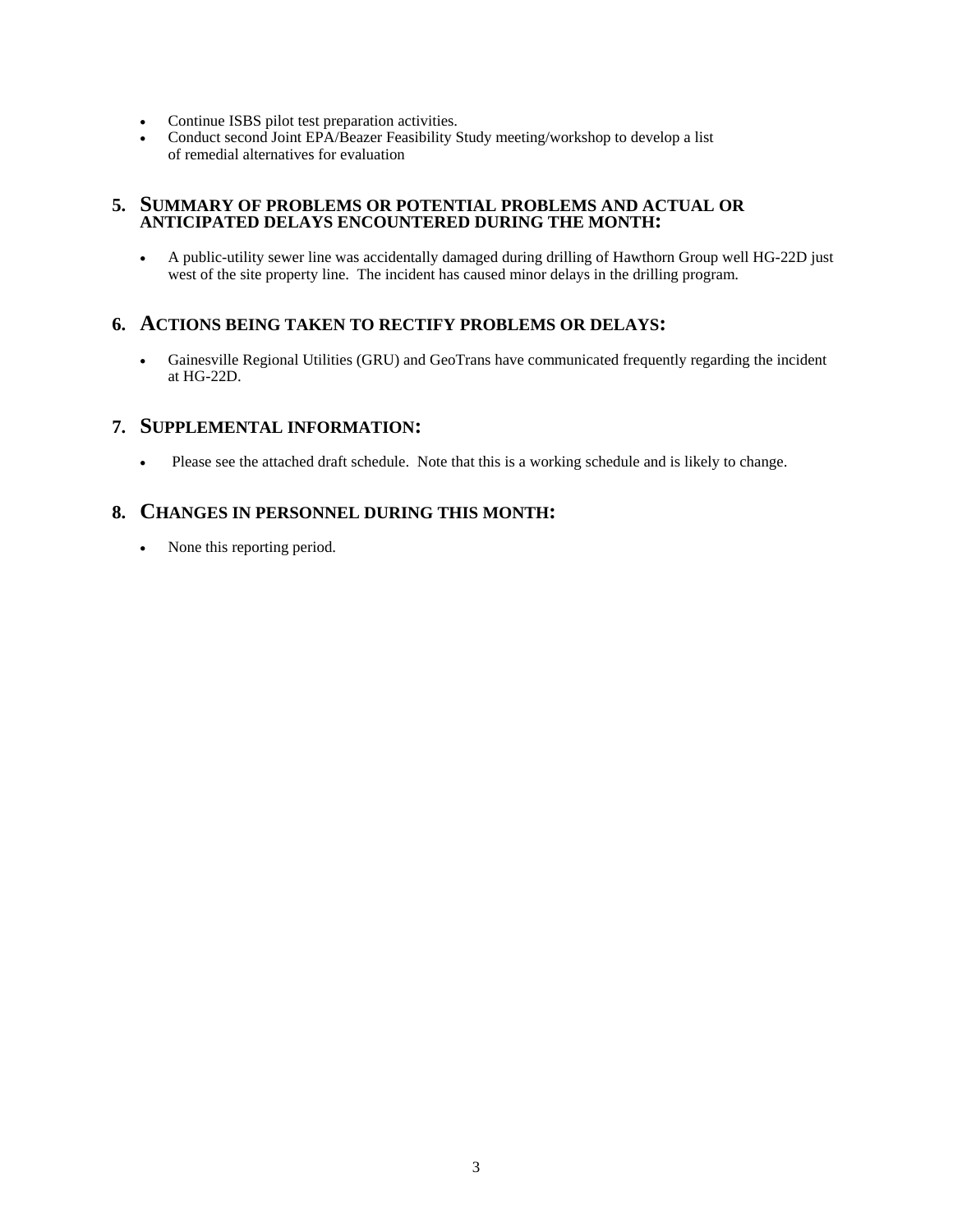- Continue ISBS pilot test preparation activities.
- Conduct second Joint EPA/Beazer Feasibility Study meeting/workshop to develop a list of remedial alternatives for evaluation

#### **5. SUMMARY OF PROBLEMS OR POTENTIAL PROBLEMS AND ACTUAL OR ANTICIPATED DELAYS ENCOUNTERED DURING THE MONTH:**

• A public-utility sewer line was accidentally damaged during drilling of Hawthorn Group well HG-22D just west of the site property line. The incident has caused minor delays in the drilling program.

# **6. ACTIONS BEING TAKEN TO RECTIFY PROBLEMS OR DELAYS:**

• Gainesville Regional Utilities (GRU) and GeoTrans have communicated frequently regarding the incident at HG-22D.

# **7. SUPPLEMENTAL INFORMATION:**

• Please see the attached draft schedule. Note that this is a working schedule and is likely to change.

# **8. CHANGES IN PERSONNEL DURING THIS MONTH:**

• None this reporting period.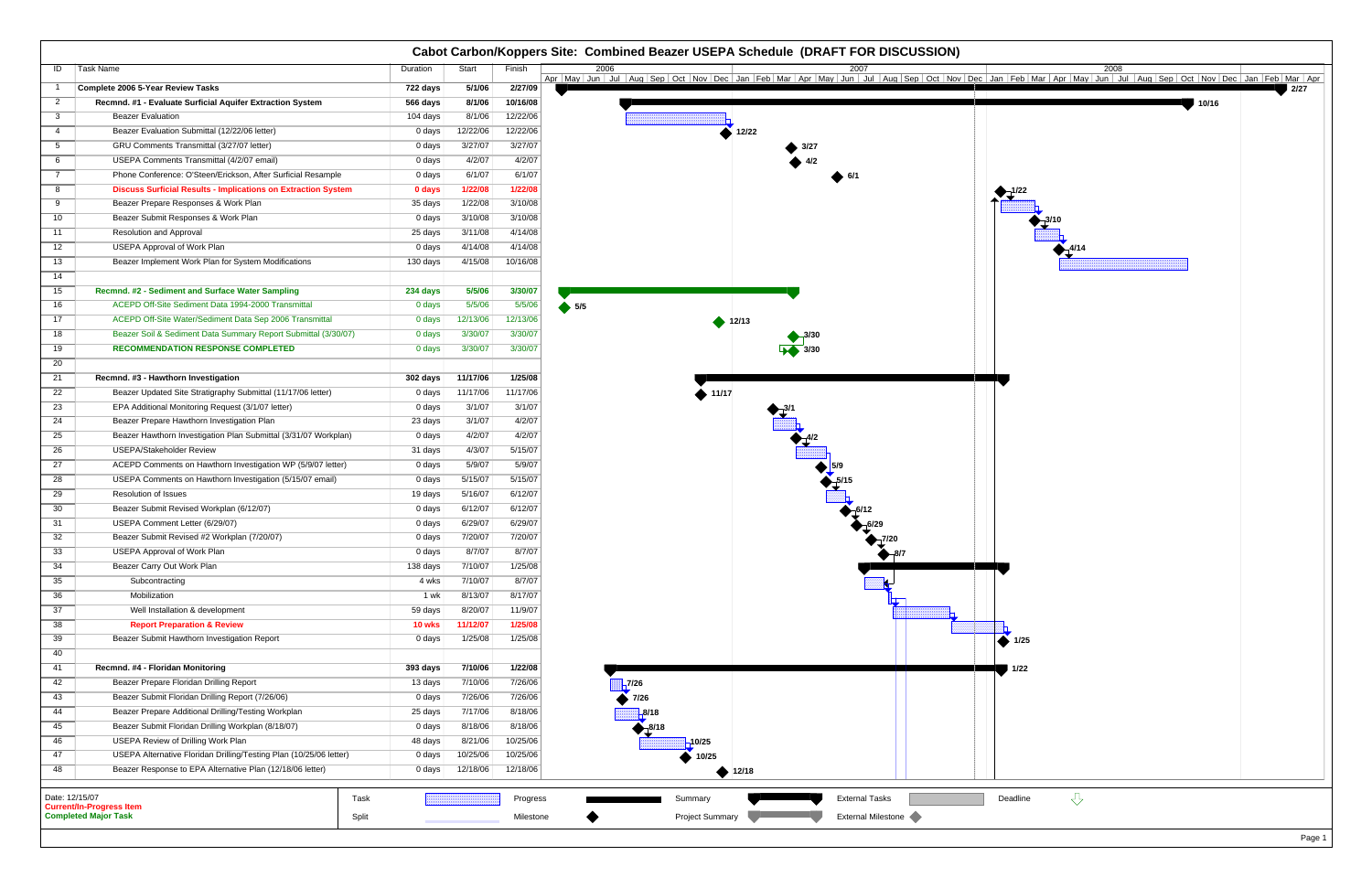|                                                                                             |                  |                              |                    | Cabot Carbon/Koppers Site: Combined Beazer USEPA Schedule (DRAFT FOR DISCUSSION)                                                                                                                                                                    |
|---------------------------------------------------------------------------------------------|------------------|------------------------------|--------------------|-----------------------------------------------------------------------------------------------------------------------------------------------------------------------------------------------------------------------------------------------------|
| Task Name<br>ID                                                                             | Duration         | Start                        | Finish             | 2006<br>2007<br>2008<br>Apr   May   Jun   Jul   Aug   Sep   Oct   Nov   Dec   Jan   Feb   Mar   Apr   May   Jun   Jul   Aug   Sep   Oct   Nov   Dec   Jan   Feb   Mar   Apr   May   Jun   Jul   Aug   Sep   Oct   Nov   Dec   Jan   Feb   Mar   Apr |
| Complete 2006 5-Year Review Tasks<br>$\overline{1}$                                         | 722 days         | 5/1/06                       | 2/27/09            | 12/27                                                                                                                                                                                                                                               |
| Recmnd. #1 - Evaluate Surficial Aquifer Extraction System<br>$\overline{2}$                 | 566 days         | 8/1/06                       | 10/16/08           | 10/16                                                                                                                                                                                                                                               |
| 3 <sup>3</sup><br><b>Beazer Evaluation</b>                                                  | 104 days         | 8/1/06                       | 12/22/06           |                                                                                                                                                                                                                                                     |
| Beazer Evaluation Submittal (12/22/06 letter)<br>$\overline{4}$                             | 0 days           | 12/22/06                     | 12/22/06           | 12/22                                                                                                                                                                                                                                               |
| 5 <sup>5</sup><br>GRU Comments Transmittal (3/27/07 letter)                                 | 0 days           | 3/27/07                      | 3/27/07            | 3/27                                                                                                                                                                                                                                                |
| USEPA Comments Transmittal (4/2/07 email)<br>6                                              | 0 days           | 4/2/07                       | 4/2/07             |                                                                                                                                                                                                                                                     |
| Phone Conference: O'Steen/Erickson, After Surficial Resample<br>$7^{\circ}$                 | 0 days           | 6/1/07                       | 6/1/07             |                                                                                                                                                                                                                                                     |
| 8<br><b>Discuss Surficial Results - Implications on Extraction System</b>                   | 0 days           | 1/22/08                      | 1/22/08            |                                                                                                                                                                                                                                                     |
| 9<br>Beazer Prepare Responses & Work Plan                                                   | 35 days          | 1/22/08                      | 3/10/08            |                                                                                                                                                                                                                                                     |
| 10 <sup>°</sup><br>Beazer Submit Responses & Work Plan                                      | 0 days           | 3/10/08                      | 3/10/08            |                                                                                                                                                                                                                                                     |
| 11<br>Resolution and Approval                                                               | 25 days          | 3/11/08                      | 4/14/08            |                                                                                                                                                                                                                                                     |
| <b>USEPA Approval of Work Plan</b><br>12                                                    | 0 days           | 4/14/08                      | 4/14/08            |                                                                                                                                                                                                                                                     |
| Beazer Implement Work Plan for System Modifications<br>13                                   | 130 days         | 4/15/08                      | 10/16/08           |                                                                                                                                                                                                                                                     |
| 14                                                                                          |                  |                              |                    |                                                                                                                                                                                                                                                     |
| Recmnd. #2 - Sediment and Surface Water Sampling<br>15                                      | 234 days         | 5/5/06                       | 3/30/07            |                                                                                                                                                                                                                                                     |
| 16<br>ACEPD Off-Site Sediment Data 1994-2000 Transmittal                                    | 0 days           | 5/5/06                       | 5/5/06             | $\bullet$ 5/5                                                                                                                                                                                                                                       |
| 17<br>ACEPD Off-Site Water/Sediment Data Sep 2006 Transmittal                               | 0 days           | 12/13/06                     | 12/13/06           | $\bullet$ 12/13                                                                                                                                                                                                                                     |
| 18<br>Beazer Soil & Sediment Data Summary Report Submittal (3/30/07)                        | 0 days           | 3/30/07                      | 3/30/07            |                                                                                                                                                                                                                                                     |
| <b>RECOMMENDATION RESPONSE COMPLETED</b><br>19                                              | 0 days           | 3/30/07                      | 3/30/07            |                                                                                                                                                                                                                                                     |
| 20                                                                                          |                  |                              |                    |                                                                                                                                                                                                                                                     |
| 21<br>Recmnd. #3 - Hawthorn Investigation                                                   | 302 days         | 11/17/06                     | 1/25/08            |                                                                                                                                                                                                                                                     |
| 22<br>Beazer Updated Site Stratigraphy Submittal (11/17/06 letter)                          | 0 days           | 11/17/06                     | 11/17/06           | 11/17                                                                                                                                                                                                                                               |
| 23<br>EPA Additional Monitoring Request (3/1/07 letter)                                     | 0 days           | 3/1/07                       | 3/1/07             |                                                                                                                                                                                                                                                     |
| 24<br>Beazer Prepare Hawthorn Investigation Plan                                            | 23 days          | 3/1/07                       | 4/2/07             |                                                                                                                                                                                                                                                     |
| 25<br>Beazer Hawthorn Investigation Plan Submittal (3/31/07 Workplan)                       | 0 days           | 4/2/07                       | 4/2/07             |                                                                                                                                                                                                                                                     |
| <b>USEPA/Stakeholder Review</b><br>26                                                       | 31 days          | 4/3/07                       | 5/15/07            |                                                                                                                                                                                                                                                     |
| 27<br>ACEPD Comments on Hawthorn Investigation WP (5/9/07 letter)                           | 0 days           | 5/9/07                       | 5/9/07             |                                                                                                                                                                                                                                                     |
| 28<br>USEPA Comments on Hawthorn Investigation (5/15/07 email)                              | 0 days           | 5/15/07                      | 5/15/07            |                                                                                                                                                                                                                                                     |
| 29<br><b>Resolution of Issues</b>                                                           | 19 days          | 5/16/07                      | 6/12/07            |                                                                                                                                                                                                                                                     |
| 30<br>Beazer Submit Revised Workplan (6/12/07)                                              | 0 days           | 6/12/07                      | 6/12/07            |                                                                                                                                                                                                                                                     |
| 31<br>USEPA Comment Letter (6/29/07)                                                        | 0 days           | 6/29/07                      | 6/29/07            |                                                                                                                                                                                                                                                     |
| 32<br>Beazer Submit Revised #2 Workplan (7/20/07)                                           | 0 days           | 7/20/07                      | 7/20/07            |                                                                                                                                                                                                                                                     |
| 33<br><b>USEPA Approval of Work Plan</b>                                                    | 0 days           | 8/7/07                       | 8/7/07             | $\bigoplus_{1}$ 8/7                                                                                                                                                                                                                                 |
| 34<br>Beazer Carry Out Work Plan                                                            | 138 days         | 7/10/07                      | 1/25/08            |                                                                                                                                                                                                                                                     |
| 35<br>Subcontracting                                                                        | 4 wks            | 7/10/07                      | 8/7/07             |                                                                                                                                                                                                                                                     |
| Mobilization<br>36                                                                          | 1 wk             | 8/13/07                      | 8/17/07            |                                                                                                                                                                                                                                                     |
| 37<br>Well Installation & development                                                       | 59 days          | 8/20/07                      | 11/9/07            |                                                                                                                                                                                                                                                     |
| <b>Report Preparation &amp; Review</b><br>38<br>Beazer Submit Hawthorn Investigation Report | 10 wks<br>0 days | 11/12/07<br>1/25/08          | 1/25/08<br>1/25/08 | $\sum$ 1/25                                                                                                                                                                                                                                         |
| 39<br>40                                                                                    |                  |                              |                    |                                                                                                                                                                                                                                                     |
| Recmnd. #4 - Floridan Monitoring<br>41                                                      | 393 days         | 7/10/06                      | 1/22/08            | 1/22                                                                                                                                                                                                                                                |
| Beazer Prepare Floridan Drilling Report<br>42                                               | 13 days          | 7/10/06                      | 7/26/06            | $-7/26$                                                                                                                                                                                                                                             |
| 43<br>Beazer Submit Floridan Drilling Report (7/26/06)                                      | 0 days           | 7/26/06                      | 7/26/06            | 7/26                                                                                                                                                                                                                                                |
| 44<br>Beazer Prepare Additional Drilling/Testing Workplan                                   | 25 days          | 7/17/06                      | 8/18/06            | -8/18                                                                                                                                                                                                                                               |
| Beazer Submit Floridan Drilling Workplan (8/18/07)<br>45                                    | 0 days           | 8/18/06                      | 8/18/06            |                                                                                                                                                                                                                                                     |
| <b>USEPA Review of Drilling Work Plan</b><br>46                                             | 48 days          | 8/21/06                      | 10/25/06           | $7^{8/18}$<br>$-10/25$                                                                                                                                                                                                                              |
| USEPA Alternative Floridan Drilling/Testing Plan (10/25/06 letter)<br>47                    | 0 days           | 10/25/06                     | 10/25/06           | 10/25                                                                                                                                                                                                                                               |
| Beazer Response to EPA Alternative Plan (12/18/06 letter)<br>48                             | 0 days           | 12/18/06                     | 12/18/06           | 12/18                                                                                                                                                                                                                                               |
|                                                                                             |                  |                              |                    |                                                                                                                                                                                                                                                     |
| Date: 12/15/07                                                                              | Task             |                              | Progress           | $\overline{\mathcal{L}}$<br><b>External Tasks</b><br>Deadline<br>Summary                                                                                                                                                                            |
| <b>Current/In-Progress Item</b><br><b>Completed Major Task</b>                              | Split            |                              | Milestone          | <b>External Milestone</b><br><b>Project Summary</b>                                                                                                                                                                                                 |
|                                                                                             |                  | ,,,,,,,,,,,,,,,,,,,,,,,,,,,, |                    |                                                                                                                                                                                                                                                     |

| 2008<br>n   Feb   Mar   Apr   May  <br>Aug   Sep   Oct   Nov   Dec  <br>$Jun$ $Jul$ | Jan   Feb   Mar   Apr |
|-------------------------------------------------------------------------------------|-----------------------|
| 10/16                                                                               | $\overline{2/27}$     |
|                                                                                     |                       |
|                                                                                     |                       |
|                                                                                     |                       |
| $J^{1/22}$                                                                          |                       |
|                                                                                     |                       |
| 3/10                                                                                |                       |
|                                                                                     |                       |
|                                                                                     |                       |
|                                                                                     |                       |
|                                                                                     |                       |
|                                                                                     |                       |
|                                                                                     |                       |
|                                                                                     |                       |
|                                                                                     |                       |
|                                                                                     |                       |
|                                                                                     |                       |
|                                                                                     |                       |
|                                                                                     |                       |
|                                                                                     |                       |
|                                                                                     |                       |
|                                                                                     |                       |
|                                                                                     |                       |
|                                                                                     |                       |
| $1/25$                                                                              |                       |
| $1/22$                                                                              |                       |
|                                                                                     |                       |
|                                                                                     |                       |
|                                                                                     |                       |
|                                                                                     |                       |
|                                                                                     |                       |
| $\overline{\mathbb{C}}$<br>Deadline                                                 |                       |
|                                                                                     |                       |
|                                                                                     | Page 1                |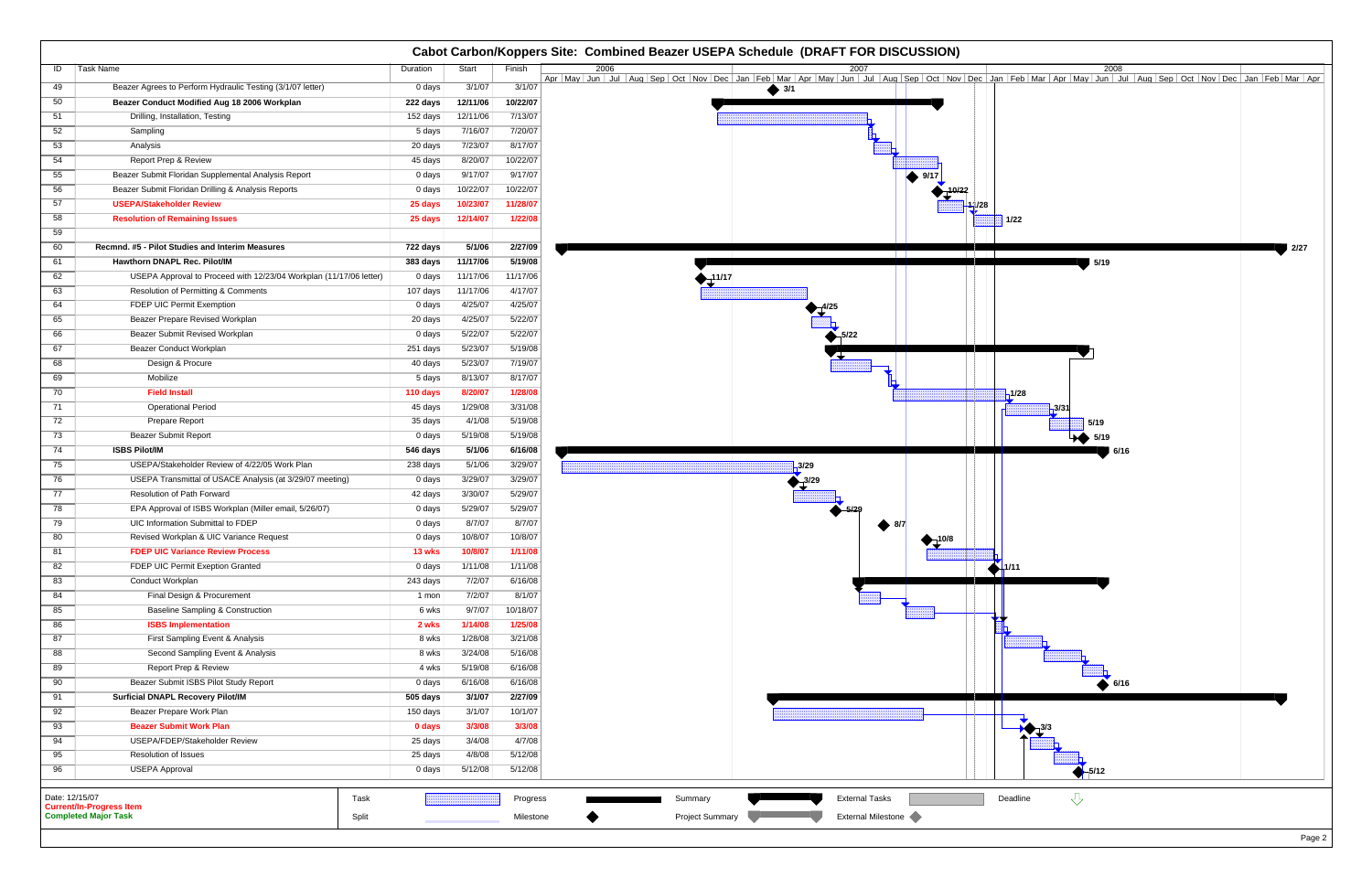|                |                                                                                            |                  |                    |                    |                        | Cabot Carbon/Koppers Site: Combined Beazer USEPA Schedule (DRAFT FOR DISCUSSION) |                                                                                                                                                                                                                                     |
|----------------|--------------------------------------------------------------------------------------------|------------------|--------------------|--------------------|------------------------|----------------------------------------------------------------------------------|-------------------------------------------------------------------------------------------------------------------------------------------------------------------------------------------------------------------------------------|
| ID             | Task Name                                                                                  | Duration         | Start              | Finish             | 2006                   |                                                                                  | 2008<br>Apr   May   Jun   Jul   Aug   Sep   Oct   Nov   Dec   Jan   Feb   Mar   Apr   May   Jun   Jul   Aug   Sep   Oct   Nov   Dec   Jan   Feb   Mar   Apr   May   Jun   Jul   Aug   Sep   Oct   Nov   Dec   Jan   Feb   Mar   Apr |
| 49             | Beazer Agrees to Perform Hydraulic Testing (3/1/07 letter)                                 | 0 days           | 3/1/07             | 3/1/07             |                        | $\bullet$ 3/1                                                                    |                                                                                                                                                                                                                                     |
| 50             | Beazer Conduct Modified Aug 18 2006 Workplan                                               | 222 days         | 12/11/06           | 10/22/07           |                        |                                                                                  |                                                                                                                                                                                                                                     |
| 51             | Drilling, Installation, Testing                                                            | 152 days         | 12/11/06           | 7/13/07            |                        |                                                                                  |                                                                                                                                                                                                                                     |
| 52             | Sampling                                                                                   | 5 days           | 7/16/07            | 7/20/07            |                        |                                                                                  |                                                                                                                                                                                                                                     |
| 53             | Analysis                                                                                   | 20 days          | 7/23/07            | 8/17/07            |                        |                                                                                  |                                                                                                                                                                                                                                     |
| 54             | Report Prep & Review                                                                       | 45 days          | 8/20/07            | 10/22/07           |                        |                                                                                  |                                                                                                                                                                                                                                     |
| 55             | Beazer Submit Floridan Supplemental Analysis Report                                        | 0 days           | 9/17/07            | 9/17/07            |                        | 9/17                                                                             |                                                                                                                                                                                                                                     |
| 56             | Beazer Submit Floridan Drilling & Analysis Reports                                         | 0 days           | 10/22/07           | 10/22/07           |                        | 10/27                                                                            |                                                                                                                                                                                                                                     |
| 57             | <b>USEPA/Stakeholder Review</b>                                                            | 25 days          | 10/23/07           | 11/28/07           |                        | $\frac{11}{2}$ /28                                                               |                                                                                                                                                                                                                                     |
| 58             | <b>Resolution of Remaining Issues</b>                                                      | 25 days          | 12/14/07           | 1/22/08            |                        |                                                                                  | 1/22                                                                                                                                                                                                                                |
| 59             |                                                                                            |                  |                    |                    |                        |                                                                                  |                                                                                                                                                                                                                                     |
| 60             | Recmnd. #5 - Pilot Studies and Interim Measures                                            | 722 days         | 5/1/06             | 2/27/09            |                        | $\frac{1}{2}$                                                                    | 2/27                                                                                                                                                                                                                                |
| 61             | Hawthorn DNAPL Rec. Pilot/IM                                                               | 383 days         | 11/17/06           | 5/19/08            |                        |                                                                                  | 5/19                                                                                                                                                                                                                                |
| 62             | USEPA Approval to Proceed with 12/23/04 Workplan (11/17/06 letter)                         | 0 days           | 11/17/06           | 11/17/06           | 11/17                  |                                                                                  |                                                                                                                                                                                                                                     |
| 63             | Resolution of Permitting & Comments                                                        | 107 days         | 11/17/06           | 4/17/07            |                        |                                                                                  |                                                                                                                                                                                                                                     |
| 64             | FDEP UIC Permit Exemption                                                                  | 0 days           | 4/25/07            | 4/25/07            |                        |                                                                                  |                                                                                                                                                                                                                                     |
| 65             | Beazer Prepare Revised Workplan                                                            | 20 days          | 4/25/07            | 5/22/07            |                        |                                                                                  |                                                                                                                                                                                                                                     |
| 66             | Beazer Submit Revised Workplan                                                             | 0 days           | 5/22/07            | 5/22/07            |                        | $-5/22$                                                                          |                                                                                                                                                                                                                                     |
| 67             | Beazer Conduct Workplan                                                                    | 251 days         | 5/23/07            | 5/19/08            |                        |                                                                                  |                                                                                                                                                                                                                                     |
| 68             | Design & Procure                                                                           | 40 days          | 5/23/07            | 7/19/07            |                        |                                                                                  |                                                                                                                                                                                                                                     |
| 69             | Mobilize                                                                                   | 5 days           | 8/13/07            | 8/17/07            |                        |                                                                                  |                                                                                                                                                                                                                                     |
| 70             | <b>Field Install</b>                                                                       | 110 days         | 8/20/07            | 1/28/08            |                        |                                                                                  | $-1/28$                                                                                                                                                                                                                             |
| 71             | <b>Operational Period</b>                                                                  | 45 days          | 1/29/08            | 3/31/08            |                        |                                                                                  | -3/31                                                                                                                                                                                                                               |
| 72             | Prepare Report                                                                             | 35 days          | 4/1/08             | 5/19/08            |                        |                                                                                  | 5/19                                                                                                                                                                                                                                |
| 73             | <b>Beazer Submit Report</b>                                                                | 0 days           | 5/19/08            | 5/19/08            |                        |                                                                                  | $+ 5/19$                                                                                                                                                                                                                            |
| 74             | <b>ISBS Pilot/IM</b>                                                                       | 546 days         | 5/1/06             | 6/16/08            |                        |                                                                                  | 6/16                                                                                                                                                                                                                                |
| 75             | USEPA/Stakeholder Review of 4/22/05 Work Plan                                              | 238 days         | 5/1/06             | 3/29/07            |                        | $-3/29$                                                                          |                                                                                                                                                                                                                                     |
| 76             | USEPA Transmittal of USACE Analysis (at 3/29/07 meeting)                                   | 0 days           | 3/29/07            | 3/29/07            |                        |                                                                                  |                                                                                                                                                                                                                                     |
| 77             | Resolution of Path Forward                                                                 | 42 days          | 3/30/07            | 5/29/07            |                        |                                                                                  |                                                                                                                                                                                                                                     |
| 78             | EPA Approval of ISBS Workplan (Miller email, 5/26/07)<br>UIC Information Submittal to FDEP | 0 days           | 5/29/07            | 5/29/07            |                        | $\frac{1}{2}$ 5/29                                                               |                                                                                                                                                                                                                                     |
| 79<br>80       | Revised Workplan & UIC Variance Request                                                    | 0 days           | 8/7/07             | 8/7/07             |                        |                                                                                  |                                                                                                                                                                                                                                     |
|                |                                                                                            | 0 days           | 10/8/07            | 10/8/07            |                        | $\bigoplus_{i=1}^{n} 10/8$                                                       |                                                                                                                                                                                                                                     |
| 81<br>82       | <b>FDEP UIC Variance Review Process</b><br>FDEP UIC Permit Exeption Granted                | 13 wks<br>0 days | 10/8/07<br>1/11/08 | 1/11/08<br>1/11/08 |                        |                                                                                  |                                                                                                                                                                                                                                     |
| 83             | Conduct Workplan                                                                           | 243 days         | 7/2/07             | 6/16/08            |                        |                                                                                  | 1/111                                                                                                                                                                                                                               |
| 84             | Final Design & Procurement                                                                 | 1 mon            | 7/2/07             | 8/1/07             |                        |                                                                                  |                                                                                                                                                                                                                                     |
| 85             | <b>Baseline Sampling &amp; Construction</b>                                                | 6 wks            | 9/7/07             | 10/18/07           |                        |                                                                                  |                                                                                                                                                                                                                                     |
| 86             | <b>ISBS Implementation</b>                                                                 | 2 wks            | 1/14/08            | 1/25/08            |                        |                                                                                  |                                                                                                                                                                                                                                     |
| 87             | First Sampling Event & Analysis                                                            | 8 wks            | 1/28/08            | 3/21/08            |                        |                                                                                  |                                                                                                                                                                                                                                     |
| 88             | Second Sampling Event & Analysis                                                           | 8 wks            | 3/24/08            | 5/16/08            |                        |                                                                                  |                                                                                                                                                                                                                                     |
| 89             | Report Prep & Review                                                                       | 4 wks            | 5/19/08            | 6/16/08            |                        |                                                                                  |                                                                                                                                                                                                                                     |
| 90             | Beazer Submit ISBS Pilot Study Report                                                      | 0 days           | 6/16/08            | 6/16/08            |                        |                                                                                  | 6/16                                                                                                                                                                                                                                |
| 91             | <b>Surficial DNAPL Recovery Pilot/IM</b>                                                   | 505 days         | 3/1/07             | 2/27/09            |                        |                                                                                  |                                                                                                                                                                                                                                     |
| 92             | Beazer Prepare Work Plan                                                                   | 150 days         | 3/1/07             | 10/1/07            |                        |                                                                                  |                                                                                                                                                                                                                                     |
| 93             | <b>Beazer Submit Work Plan</b>                                                             | 0 days           | 3/3/08             | 3/3/08             |                        |                                                                                  |                                                                                                                                                                                                                                     |
| 94             | USEPA/FDEP/Stakeholder Review                                                              | 25 days          | 3/4/08             | 4/7/08             |                        |                                                                                  |                                                                                                                                                                                                                                     |
| 95             | Resolution of Issues                                                                       | 25 days          | 4/8/08             | 5/12/08            |                        |                                                                                  |                                                                                                                                                                                                                                     |
| 96             | <b>USEPA Approval</b>                                                                      | 0 days           | 5/12/08            | 5/12/08            |                        |                                                                                  | $-5/12$                                                                                                                                                                                                                             |
|                |                                                                                            |                  |                    |                    |                        |                                                                                  |                                                                                                                                                                                                                                     |
| Date: 12/15/07 | Task<br><b>Current/In-Progress Item</b>                                                    |                  |                    | Progress           | Summary                | <b>External Tasks</b>                                                            | ⇩<br>Deadline                                                                                                                                                                                                                       |
|                | <b>Completed Major Task</b><br>Split                                                       |                  |                    | Milestone          | <b>Project Summary</b> | External Milestone                                                               |                                                                                                                                                                                                                                     |
|                |                                                                                            |                  |                    |                    |                        |                                                                                  |                                                                                                                                                                                                                                     |

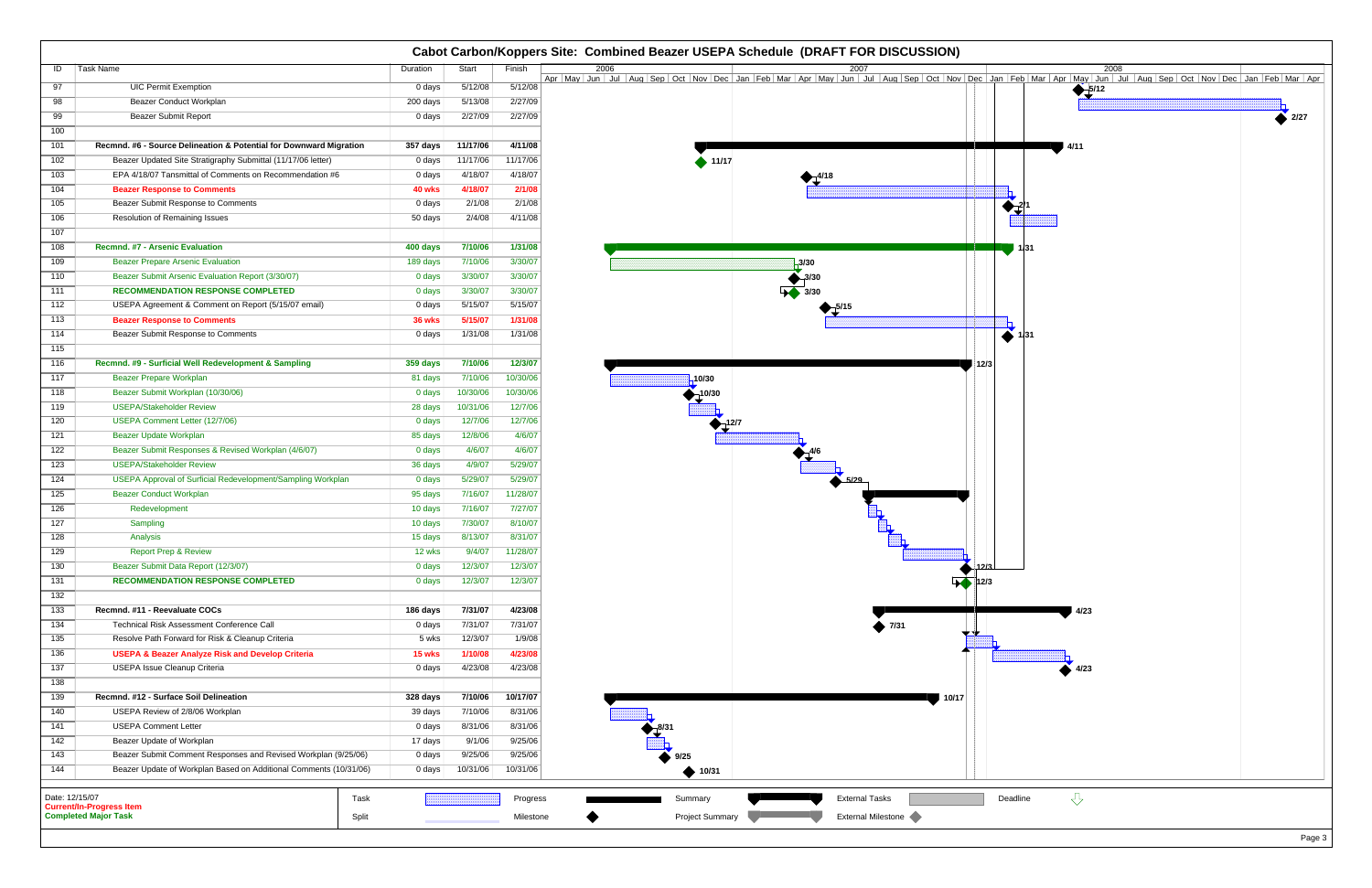| ID   Task Name<br>Start<br>Finish<br>Duration<br>2008<br>2006<br>Apr   May   Jun   Jul   Aug   Sep   Oct   Nov   Dec   Jan   Feb   Mar   Apr   May   Jun   Jul   Aug   Sep   Oct   Nov   Dec   Jan   Feb   Mar   Apr   May   Jun   Jul   Aug   Sep   Oct   Nov   Dec   Jan   Feb   Mar   Apr<br>5/12/08<br>97<br><b>UIC Permit Exemption</b><br>5/12/08<br>0 days<br>$\bigoplus$ 5/12<br>5/13/08<br>98<br>Beazer Conduct Workplan<br>200 days<br>2/27/09<br>99<br><b>Beazer Submit Report</b><br>2/27/09<br>2/27/09<br>0 days<br>$\bullet$ 2/27<br>100<br>Recmnd. #6 - Source Delineation & Potential for Downward Migration<br>11/17/06<br>4/11/08<br>101<br>357 days<br>14/11<br>102<br>11/17/06<br>11/17/06<br>Beazer Updated Site Stratigraphy Submittal (11/17/06 letter)<br>0 days<br>$\bullet$ 11/17<br>4/18/07<br>4/18/07<br>103<br>EPA 4/18/07 Tansmittal of Comments on Recommendation #6<br>0 days<br>4/18<br>104<br>4/18/07<br><b>Beazer Response to Comments</b><br>40 wks<br>2/1/08<br>105<br>2/1/08<br>2/1/08<br>Beazer Submit Response to Comments<br>0 days<br>Resolution of Remaining Issues<br>2/4/08<br>4/11/08<br>106<br>50 days<br>107<br>108<br><b>Recmnd. #7 - Arsenic Evaluation</b><br>7/10/06<br>400 days<br>1/31/08<br>l 1/31<br>7/10/06<br>109<br><b>Beazer Prepare Arsenic Evaluation</b><br>189 days<br>3/30/07<br>$-3/30$<br>Beazer Submit Arsenic Evaluation Report (3/30/07)<br>3/30/07<br>110<br>3/30/07<br>0 days<br>-3/30<br><b>RECOMMENDATION RESPONSE COMPLETED</b><br>3/30/07<br>3/30/07<br>111<br>$\overline{4}$ 3/30<br>0 days<br>5/15/07<br>112<br>USEPA Agreement & Comment on Report (5/15/07 email)<br>0 days<br>5/15/07<br>$\frac{5}{15}$<br>5/15/07<br><b>Beazer Response to Comments</b><br>36 wks<br>1/31/08<br>113<br>$\overline{\bullet}$ 1/31<br>Beazer Submit Response to Comments<br>1/31/08<br>1/31/08<br>114<br>0 days<br>115<br>116<br>Recmnd. #9 - Surficial Well Redevelopment & Sampling<br>359 days<br>7/10/06<br>12/3/07<br>12/3<br>117<br>Beazer Prepare Workplan<br>81 days<br>7/10/06<br>10/30/06<br>$\neg$ 10/30<br>118<br>Beazer Submit Workplan (10/30/06)<br>10/30/06<br>10/30/06<br>0 days<br>$-10/30$<br><b>USEPA/Stakeholder Review</b><br>10/31/06<br>12/7/06<br>119<br>28 days<br>USEPA Comment Letter (12/7/06)<br>120<br>12/7/06<br>12/7/06<br>0 days<br>127<br>85 days<br>12/8/06<br>4/6/07<br>121<br><b>Beazer Update Workplan</b><br>Beazer Submit Responses & Revised Workplan (4/6/07)<br>4/6/07<br>4/6/07<br>122<br>0 days<br>4/9/07<br>123<br><b>USEPA/Stakeholder Review</b><br>5/29/07<br>36 days<br>124<br>USEPA Approval of Surficial Redevelopment/Sampling Workplan<br>5/29/07<br>5/29/07<br>0 days<br>125<br><b>Beazer Conduct Workplan</b><br>7/16/07<br>95 days<br>11/28/07<br>7/16/07<br>7/27/07<br>126<br>Redevelopment<br>10 days<br>127<br>Sampling<br>10 days<br>7/30/07<br>8/10/07<br>128<br>15 days<br>8/13/07<br>Analysis<br>8/31/07<br>129<br>Report Prep & Review<br>12 wks<br>9/4/07<br>11/28/07<br>130<br>Beazer Submit Data Report (12/3/07)<br>12/3/07<br>12/3/07<br>0 days<br>$-12/3$<br>131<br>12/3/07<br>12/3/07<br><b>RECOMMENDATION RESPONSE COMPLETED</b><br>0 days<br>$\sqrt{12/3}$<br>132<br>7/31/07<br>133<br>Recmnd. #11 - Reevaluate COCs<br>186 days<br>4/23/08<br>4/23 |       |                                                  |        |         |         | Cabot Carbon/Koppers Site: Combined Beazer USEPA Schedule (DRAFT FOR DISCUSSION) |
|------------------------------------------------------------------------------------------------------------------------------------------------------------------------------------------------------------------------------------------------------------------------------------------------------------------------------------------------------------------------------------------------------------------------------------------------------------------------------------------------------------------------------------------------------------------------------------------------------------------------------------------------------------------------------------------------------------------------------------------------------------------------------------------------------------------------------------------------------------------------------------------------------------------------------------------------------------------------------------------------------------------------------------------------------------------------------------------------------------------------------------------------------------------------------------------------------------------------------------------------------------------------------------------------------------------------------------------------------------------------------------------------------------------------------------------------------------------------------------------------------------------------------------------------------------------------------------------------------------------------------------------------------------------------------------------------------------------------------------------------------------------------------------------------------------------------------------------------------------------------------------------------------------------------------------------------------------------------------------------------------------------------------------------------------------------------------------------------------------------------------------------------------------------------------------------------------------------------------------------------------------------------------------------------------------------------------------------------------------------------------------------------------------------------------------------------------------------------------------------------------------------------------------------------------------------------------------------------------------------------------------------------------------------------------------------------------------------------------------------------------------------------------------------------------------------------------------------------------------------------------------------------------------------------------------------------------------------------------------------------------------------------------------------------------------------------------------------------------------------------------------------------------------------------------------------------------------------------------------------------------------------------------------------------|-------|--------------------------------------------------|--------|---------|---------|----------------------------------------------------------------------------------|
|                                                                                                                                                                                                                                                                                                                                                                                                                                                                                                                                                                                                                                                                                                                                                                                                                                                                                                                                                                                                                                                                                                                                                                                                                                                                                                                                                                                                                                                                                                                                                                                                                                                                                                                                                                                                                                                                                                                                                                                                                                                                                                                                                                                                                                                                                                                                                                                                                                                                                                                                                                                                                                                                                                                                                                                                                                                                                                                                                                                                                                                                                                                                                                                                                                                                                                |       |                                                  |        |         |         |                                                                                  |
|                                                                                                                                                                                                                                                                                                                                                                                                                                                                                                                                                                                                                                                                                                                                                                                                                                                                                                                                                                                                                                                                                                                                                                                                                                                                                                                                                                                                                                                                                                                                                                                                                                                                                                                                                                                                                                                                                                                                                                                                                                                                                                                                                                                                                                                                                                                                                                                                                                                                                                                                                                                                                                                                                                                                                                                                                                                                                                                                                                                                                                                                                                                                                                                                                                                                                                |       |                                                  |        |         |         |                                                                                  |
|                                                                                                                                                                                                                                                                                                                                                                                                                                                                                                                                                                                                                                                                                                                                                                                                                                                                                                                                                                                                                                                                                                                                                                                                                                                                                                                                                                                                                                                                                                                                                                                                                                                                                                                                                                                                                                                                                                                                                                                                                                                                                                                                                                                                                                                                                                                                                                                                                                                                                                                                                                                                                                                                                                                                                                                                                                                                                                                                                                                                                                                                                                                                                                                                                                                                                                |       |                                                  |        |         |         |                                                                                  |
|                                                                                                                                                                                                                                                                                                                                                                                                                                                                                                                                                                                                                                                                                                                                                                                                                                                                                                                                                                                                                                                                                                                                                                                                                                                                                                                                                                                                                                                                                                                                                                                                                                                                                                                                                                                                                                                                                                                                                                                                                                                                                                                                                                                                                                                                                                                                                                                                                                                                                                                                                                                                                                                                                                                                                                                                                                                                                                                                                                                                                                                                                                                                                                                                                                                                                                |       |                                                  |        |         |         |                                                                                  |
|                                                                                                                                                                                                                                                                                                                                                                                                                                                                                                                                                                                                                                                                                                                                                                                                                                                                                                                                                                                                                                                                                                                                                                                                                                                                                                                                                                                                                                                                                                                                                                                                                                                                                                                                                                                                                                                                                                                                                                                                                                                                                                                                                                                                                                                                                                                                                                                                                                                                                                                                                                                                                                                                                                                                                                                                                                                                                                                                                                                                                                                                                                                                                                                                                                                                                                |       |                                                  |        |         |         |                                                                                  |
|                                                                                                                                                                                                                                                                                                                                                                                                                                                                                                                                                                                                                                                                                                                                                                                                                                                                                                                                                                                                                                                                                                                                                                                                                                                                                                                                                                                                                                                                                                                                                                                                                                                                                                                                                                                                                                                                                                                                                                                                                                                                                                                                                                                                                                                                                                                                                                                                                                                                                                                                                                                                                                                                                                                                                                                                                                                                                                                                                                                                                                                                                                                                                                                                                                                                                                |       |                                                  |        |         |         |                                                                                  |
|                                                                                                                                                                                                                                                                                                                                                                                                                                                                                                                                                                                                                                                                                                                                                                                                                                                                                                                                                                                                                                                                                                                                                                                                                                                                                                                                                                                                                                                                                                                                                                                                                                                                                                                                                                                                                                                                                                                                                                                                                                                                                                                                                                                                                                                                                                                                                                                                                                                                                                                                                                                                                                                                                                                                                                                                                                                                                                                                                                                                                                                                                                                                                                                                                                                                                                |       |                                                  |        |         |         |                                                                                  |
|                                                                                                                                                                                                                                                                                                                                                                                                                                                                                                                                                                                                                                                                                                                                                                                                                                                                                                                                                                                                                                                                                                                                                                                                                                                                                                                                                                                                                                                                                                                                                                                                                                                                                                                                                                                                                                                                                                                                                                                                                                                                                                                                                                                                                                                                                                                                                                                                                                                                                                                                                                                                                                                                                                                                                                                                                                                                                                                                                                                                                                                                                                                                                                                                                                                                                                |       |                                                  |        |         |         |                                                                                  |
|                                                                                                                                                                                                                                                                                                                                                                                                                                                                                                                                                                                                                                                                                                                                                                                                                                                                                                                                                                                                                                                                                                                                                                                                                                                                                                                                                                                                                                                                                                                                                                                                                                                                                                                                                                                                                                                                                                                                                                                                                                                                                                                                                                                                                                                                                                                                                                                                                                                                                                                                                                                                                                                                                                                                                                                                                                                                                                                                                                                                                                                                                                                                                                                                                                                                                                |       |                                                  |        |         |         |                                                                                  |
|                                                                                                                                                                                                                                                                                                                                                                                                                                                                                                                                                                                                                                                                                                                                                                                                                                                                                                                                                                                                                                                                                                                                                                                                                                                                                                                                                                                                                                                                                                                                                                                                                                                                                                                                                                                                                                                                                                                                                                                                                                                                                                                                                                                                                                                                                                                                                                                                                                                                                                                                                                                                                                                                                                                                                                                                                                                                                                                                                                                                                                                                                                                                                                                                                                                                                                |       |                                                  |        |         |         |                                                                                  |
|                                                                                                                                                                                                                                                                                                                                                                                                                                                                                                                                                                                                                                                                                                                                                                                                                                                                                                                                                                                                                                                                                                                                                                                                                                                                                                                                                                                                                                                                                                                                                                                                                                                                                                                                                                                                                                                                                                                                                                                                                                                                                                                                                                                                                                                                                                                                                                                                                                                                                                                                                                                                                                                                                                                                                                                                                                                                                                                                                                                                                                                                                                                                                                                                                                                                                                |       |                                                  |        |         |         |                                                                                  |
|                                                                                                                                                                                                                                                                                                                                                                                                                                                                                                                                                                                                                                                                                                                                                                                                                                                                                                                                                                                                                                                                                                                                                                                                                                                                                                                                                                                                                                                                                                                                                                                                                                                                                                                                                                                                                                                                                                                                                                                                                                                                                                                                                                                                                                                                                                                                                                                                                                                                                                                                                                                                                                                                                                                                                                                                                                                                                                                                                                                                                                                                                                                                                                                                                                                                                                |       |                                                  |        |         |         |                                                                                  |
|                                                                                                                                                                                                                                                                                                                                                                                                                                                                                                                                                                                                                                                                                                                                                                                                                                                                                                                                                                                                                                                                                                                                                                                                                                                                                                                                                                                                                                                                                                                                                                                                                                                                                                                                                                                                                                                                                                                                                                                                                                                                                                                                                                                                                                                                                                                                                                                                                                                                                                                                                                                                                                                                                                                                                                                                                                                                                                                                                                                                                                                                                                                                                                                                                                                                                                |       |                                                  |        |         |         |                                                                                  |
|                                                                                                                                                                                                                                                                                                                                                                                                                                                                                                                                                                                                                                                                                                                                                                                                                                                                                                                                                                                                                                                                                                                                                                                                                                                                                                                                                                                                                                                                                                                                                                                                                                                                                                                                                                                                                                                                                                                                                                                                                                                                                                                                                                                                                                                                                                                                                                                                                                                                                                                                                                                                                                                                                                                                                                                                                                                                                                                                                                                                                                                                                                                                                                                                                                                                                                |       |                                                  |        |         |         |                                                                                  |
|                                                                                                                                                                                                                                                                                                                                                                                                                                                                                                                                                                                                                                                                                                                                                                                                                                                                                                                                                                                                                                                                                                                                                                                                                                                                                                                                                                                                                                                                                                                                                                                                                                                                                                                                                                                                                                                                                                                                                                                                                                                                                                                                                                                                                                                                                                                                                                                                                                                                                                                                                                                                                                                                                                                                                                                                                                                                                                                                                                                                                                                                                                                                                                                                                                                                                                |       |                                                  |        |         |         |                                                                                  |
|                                                                                                                                                                                                                                                                                                                                                                                                                                                                                                                                                                                                                                                                                                                                                                                                                                                                                                                                                                                                                                                                                                                                                                                                                                                                                                                                                                                                                                                                                                                                                                                                                                                                                                                                                                                                                                                                                                                                                                                                                                                                                                                                                                                                                                                                                                                                                                                                                                                                                                                                                                                                                                                                                                                                                                                                                                                                                                                                                                                                                                                                                                                                                                                                                                                                                                |       |                                                  |        |         |         |                                                                                  |
|                                                                                                                                                                                                                                                                                                                                                                                                                                                                                                                                                                                                                                                                                                                                                                                                                                                                                                                                                                                                                                                                                                                                                                                                                                                                                                                                                                                                                                                                                                                                                                                                                                                                                                                                                                                                                                                                                                                                                                                                                                                                                                                                                                                                                                                                                                                                                                                                                                                                                                                                                                                                                                                                                                                                                                                                                                                                                                                                                                                                                                                                                                                                                                                                                                                                                                |       |                                                  |        |         |         |                                                                                  |
|                                                                                                                                                                                                                                                                                                                                                                                                                                                                                                                                                                                                                                                                                                                                                                                                                                                                                                                                                                                                                                                                                                                                                                                                                                                                                                                                                                                                                                                                                                                                                                                                                                                                                                                                                                                                                                                                                                                                                                                                                                                                                                                                                                                                                                                                                                                                                                                                                                                                                                                                                                                                                                                                                                                                                                                                                                                                                                                                                                                                                                                                                                                                                                                                                                                                                                |       |                                                  |        |         |         |                                                                                  |
|                                                                                                                                                                                                                                                                                                                                                                                                                                                                                                                                                                                                                                                                                                                                                                                                                                                                                                                                                                                                                                                                                                                                                                                                                                                                                                                                                                                                                                                                                                                                                                                                                                                                                                                                                                                                                                                                                                                                                                                                                                                                                                                                                                                                                                                                                                                                                                                                                                                                                                                                                                                                                                                                                                                                                                                                                                                                                                                                                                                                                                                                                                                                                                                                                                                                                                |       |                                                  |        |         |         |                                                                                  |
|                                                                                                                                                                                                                                                                                                                                                                                                                                                                                                                                                                                                                                                                                                                                                                                                                                                                                                                                                                                                                                                                                                                                                                                                                                                                                                                                                                                                                                                                                                                                                                                                                                                                                                                                                                                                                                                                                                                                                                                                                                                                                                                                                                                                                                                                                                                                                                                                                                                                                                                                                                                                                                                                                                                                                                                                                                                                                                                                                                                                                                                                                                                                                                                                                                                                                                |       |                                                  |        |         |         |                                                                                  |
|                                                                                                                                                                                                                                                                                                                                                                                                                                                                                                                                                                                                                                                                                                                                                                                                                                                                                                                                                                                                                                                                                                                                                                                                                                                                                                                                                                                                                                                                                                                                                                                                                                                                                                                                                                                                                                                                                                                                                                                                                                                                                                                                                                                                                                                                                                                                                                                                                                                                                                                                                                                                                                                                                                                                                                                                                                                                                                                                                                                                                                                                                                                                                                                                                                                                                                |       |                                                  |        |         |         |                                                                                  |
|                                                                                                                                                                                                                                                                                                                                                                                                                                                                                                                                                                                                                                                                                                                                                                                                                                                                                                                                                                                                                                                                                                                                                                                                                                                                                                                                                                                                                                                                                                                                                                                                                                                                                                                                                                                                                                                                                                                                                                                                                                                                                                                                                                                                                                                                                                                                                                                                                                                                                                                                                                                                                                                                                                                                                                                                                                                                                                                                                                                                                                                                                                                                                                                                                                                                                                |       |                                                  |        |         |         |                                                                                  |
|                                                                                                                                                                                                                                                                                                                                                                                                                                                                                                                                                                                                                                                                                                                                                                                                                                                                                                                                                                                                                                                                                                                                                                                                                                                                                                                                                                                                                                                                                                                                                                                                                                                                                                                                                                                                                                                                                                                                                                                                                                                                                                                                                                                                                                                                                                                                                                                                                                                                                                                                                                                                                                                                                                                                                                                                                                                                                                                                                                                                                                                                                                                                                                                                                                                                                                |       |                                                  |        |         |         |                                                                                  |
|                                                                                                                                                                                                                                                                                                                                                                                                                                                                                                                                                                                                                                                                                                                                                                                                                                                                                                                                                                                                                                                                                                                                                                                                                                                                                                                                                                                                                                                                                                                                                                                                                                                                                                                                                                                                                                                                                                                                                                                                                                                                                                                                                                                                                                                                                                                                                                                                                                                                                                                                                                                                                                                                                                                                                                                                                                                                                                                                                                                                                                                                                                                                                                                                                                                                                                |       |                                                  |        |         |         |                                                                                  |
|                                                                                                                                                                                                                                                                                                                                                                                                                                                                                                                                                                                                                                                                                                                                                                                                                                                                                                                                                                                                                                                                                                                                                                                                                                                                                                                                                                                                                                                                                                                                                                                                                                                                                                                                                                                                                                                                                                                                                                                                                                                                                                                                                                                                                                                                                                                                                                                                                                                                                                                                                                                                                                                                                                                                                                                                                                                                                                                                                                                                                                                                                                                                                                                                                                                                                                |       |                                                  |        |         |         |                                                                                  |
|                                                                                                                                                                                                                                                                                                                                                                                                                                                                                                                                                                                                                                                                                                                                                                                                                                                                                                                                                                                                                                                                                                                                                                                                                                                                                                                                                                                                                                                                                                                                                                                                                                                                                                                                                                                                                                                                                                                                                                                                                                                                                                                                                                                                                                                                                                                                                                                                                                                                                                                                                                                                                                                                                                                                                                                                                                                                                                                                                                                                                                                                                                                                                                                                                                                                                                |       |                                                  |        |         |         |                                                                                  |
|                                                                                                                                                                                                                                                                                                                                                                                                                                                                                                                                                                                                                                                                                                                                                                                                                                                                                                                                                                                                                                                                                                                                                                                                                                                                                                                                                                                                                                                                                                                                                                                                                                                                                                                                                                                                                                                                                                                                                                                                                                                                                                                                                                                                                                                                                                                                                                                                                                                                                                                                                                                                                                                                                                                                                                                                                                                                                                                                                                                                                                                                                                                                                                                                                                                                                                |       |                                                  |        |         |         |                                                                                  |
|                                                                                                                                                                                                                                                                                                                                                                                                                                                                                                                                                                                                                                                                                                                                                                                                                                                                                                                                                                                                                                                                                                                                                                                                                                                                                                                                                                                                                                                                                                                                                                                                                                                                                                                                                                                                                                                                                                                                                                                                                                                                                                                                                                                                                                                                                                                                                                                                                                                                                                                                                                                                                                                                                                                                                                                                                                                                                                                                                                                                                                                                                                                                                                                                                                                                                                |       |                                                  |        |         |         |                                                                                  |
|                                                                                                                                                                                                                                                                                                                                                                                                                                                                                                                                                                                                                                                                                                                                                                                                                                                                                                                                                                                                                                                                                                                                                                                                                                                                                                                                                                                                                                                                                                                                                                                                                                                                                                                                                                                                                                                                                                                                                                                                                                                                                                                                                                                                                                                                                                                                                                                                                                                                                                                                                                                                                                                                                                                                                                                                                                                                                                                                                                                                                                                                                                                                                                                                                                                                                                |       |                                                  |        |         |         |                                                                                  |
|                                                                                                                                                                                                                                                                                                                                                                                                                                                                                                                                                                                                                                                                                                                                                                                                                                                                                                                                                                                                                                                                                                                                                                                                                                                                                                                                                                                                                                                                                                                                                                                                                                                                                                                                                                                                                                                                                                                                                                                                                                                                                                                                                                                                                                                                                                                                                                                                                                                                                                                                                                                                                                                                                                                                                                                                                                                                                                                                                                                                                                                                                                                                                                                                                                                                                                |       |                                                  |        |         |         |                                                                                  |
|                                                                                                                                                                                                                                                                                                                                                                                                                                                                                                                                                                                                                                                                                                                                                                                                                                                                                                                                                                                                                                                                                                                                                                                                                                                                                                                                                                                                                                                                                                                                                                                                                                                                                                                                                                                                                                                                                                                                                                                                                                                                                                                                                                                                                                                                                                                                                                                                                                                                                                                                                                                                                                                                                                                                                                                                                                                                                                                                                                                                                                                                                                                                                                                                                                                                                                |       |                                                  |        |         |         |                                                                                  |
|                                                                                                                                                                                                                                                                                                                                                                                                                                                                                                                                                                                                                                                                                                                                                                                                                                                                                                                                                                                                                                                                                                                                                                                                                                                                                                                                                                                                                                                                                                                                                                                                                                                                                                                                                                                                                                                                                                                                                                                                                                                                                                                                                                                                                                                                                                                                                                                                                                                                                                                                                                                                                                                                                                                                                                                                                                                                                                                                                                                                                                                                                                                                                                                                                                                                                                |       |                                                  |        |         |         |                                                                                  |
|                                                                                                                                                                                                                                                                                                                                                                                                                                                                                                                                                                                                                                                                                                                                                                                                                                                                                                                                                                                                                                                                                                                                                                                                                                                                                                                                                                                                                                                                                                                                                                                                                                                                                                                                                                                                                                                                                                                                                                                                                                                                                                                                                                                                                                                                                                                                                                                                                                                                                                                                                                                                                                                                                                                                                                                                                                                                                                                                                                                                                                                                                                                                                                                                                                                                                                |       |                                                  |        |         |         |                                                                                  |
|                                                                                                                                                                                                                                                                                                                                                                                                                                                                                                                                                                                                                                                                                                                                                                                                                                                                                                                                                                                                                                                                                                                                                                                                                                                                                                                                                                                                                                                                                                                                                                                                                                                                                                                                                                                                                                                                                                                                                                                                                                                                                                                                                                                                                                                                                                                                                                                                                                                                                                                                                                                                                                                                                                                                                                                                                                                                                                                                                                                                                                                                                                                                                                                                                                                                                                |       |                                                  |        |         |         |                                                                                  |
|                                                                                                                                                                                                                                                                                                                                                                                                                                                                                                                                                                                                                                                                                                                                                                                                                                                                                                                                                                                                                                                                                                                                                                                                                                                                                                                                                                                                                                                                                                                                                                                                                                                                                                                                                                                                                                                                                                                                                                                                                                                                                                                                                                                                                                                                                                                                                                                                                                                                                                                                                                                                                                                                                                                                                                                                                                                                                                                                                                                                                                                                                                                                                                                                                                                                                                |       |                                                  |        |         |         |                                                                                  |
|                                                                                                                                                                                                                                                                                                                                                                                                                                                                                                                                                                                                                                                                                                                                                                                                                                                                                                                                                                                                                                                                                                                                                                                                                                                                                                                                                                                                                                                                                                                                                                                                                                                                                                                                                                                                                                                                                                                                                                                                                                                                                                                                                                                                                                                                                                                                                                                                                                                                                                                                                                                                                                                                                                                                                                                                                                                                                                                                                                                                                                                                                                                                                                                                                                                                                                |       |                                                  |        |         |         |                                                                                  |
|                                                                                                                                                                                                                                                                                                                                                                                                                                                                                                                                                                                                                                                                                                                                                                                                                                                                                                                                                                                                                                                                                                                                                                                                                                                                                                                                                                                                                                                                                                                                                                                                                                                                                                                                                                                                                                                                                                                                                                                                                                                                                                                                                                                                                                                                                                                                                                                                                                                                                                                                                                                                                                                                                                                                                                                                                                                                                                                                                                                                                                                                                                                                                                                                                                                                                                |       |                                                  |        |         |         |                                                                                  |
|                                                                                                                                                                                                                                                                                                                                                                                                                                                                                                                                                                                                                                                                                                                                                                                                                                                                                                                                                                                                                                                                                                                                                                                                                                                                                                                                                                                                                                                                                                                                                                                                                                                                                                                                                                                                                                                                                                                                                                                                                                                                                                                                                                                                                                                                                                                                                                                                                                                                                                                                                                                                                                                                                                                                                                                                                                                                                                                                                                                                                                                                                                                                                                                                                                                                                                | $134$ | <b>Technical Risk Assessment Conference Call</b> | 0 days | 7/31/07 | 7/31/07 | $\bullet$ 7/31                                                                   |
| ▼▼<br>135<br>Resolve Path Forward for Risk & Cleanup Criteria<br>12/3/07<br>1/9/08<br>5 wks                                                                                                                                                                                                                                                                                                                                                                                                                                                                                                                                                                                                                                                                                                                                                                                                                                                                                                                                                                                                                                                                                                                                                                                                                                                                                                                                                                                                                                                                                                                                                                                                                                                                                                                                                                                                                                                                                                                                                                                                                                                                                                                                                                                                                                                                                                                                                                                                                                                                                                                                                                                                                                                                                                                                                                                                                                                                                                                                                                                                                                                                                                                                                                                                    |       |                                                  |        |         |         |                                                                                  |
| 136<br><b>USEPA &amp; Beazer Analyze Risk and Develop Criteria</b><br>1/10/08<br>4/23/08<br>15 wks                                                                                                                                                                                                                                                                                                                                                                                                                                                                                                                                                                                                                                                                                                                                                                                                                                                                                                                                                                                                                                                                                                                                                                                                                                                                                                                                                                                                                                                                                                                                                                                                                                                                                                                                                                                                                                                                                                                                                                                                                                                                                                                                                                                                                                                                                                                                                                                                                                                                                                                                                                                                                                                                                                                                                                                                                                                                                                                                                                                                                                                                                                                                                                                             |       |                                                  |        |         |         |                                                                                  |
| 137<br>USEPA Issue Cleanup Criteria<br>4/23/08<br>4/23/08<br>0 days<br>4/23                                                                                                                                                                                                                                                                                                                                                                                                                                                                                                                                                                                                                                                                                                                                                                                                                                                                                                                                                                                                                                                                                                                                                                                                                                                                                                                                                                                                                                                                                                                                                                                                                                                                                                                                                                                                                                                                                                                                                                                                                                                                                                                                                                                                                                                                                                                                                                                                                                                                                                                                                                                                                                                                                                                                                                                                                                                                                                                                                                                                                                                                                                                                                                                                                    |       |                                                  |        |         |         |                                                                                  |
| 138                                                                                                                                                                                                                                                                                                                                                                                                                                                                                                                                                                                                                                                                                                                                                                                                                                                                                                                                                                                                                                                                                                                                                                                                                                                                                                                                                                                                                                                                                                                                                                                                                                                                                                                                                                                                                                                                                                                                                                                                                                                                                                                                                                                                                                                                                                                                                                                                                                                                                                                                                                                                                                                                                                                                                                                                                                                                                                                                                                                                                                                                                                                                                                                                                                                                                            |       |                                                  |        |         |         |                                                                                  |
| Recmnd. #12 - Surface Soil Delineation<br>7/10/06<br>10/17/07<br>139<br>328 days<br>10/17                                                                                                                                                                                                                                                                                                                                                                                                                                                                                                                                                                                                                                                                                                                                                                                                                                                                                                                                                                                                                                                                                                                                                                                                                                                                                                                                                                                                                                                                                                                                                                                                                                                                                                                                                                                                                                                                                                                                                                                                                                                                                                                                                                                                                                                                                                                                                                                                                                                                                                                                                                                                                                                                                                                                                                                                                                                                                                                                                                                                                                                                                                                                                                                                      |       |                                                  |        |         |         |                                                                                  |
| USEPA Review of 2/8/06 Workplan<br>7/10/06<br>8/31/06<br>140<br>39 days                                                                                                                                                                                                                                                                                                                                                                                                                                                                                                                                                                                                                                                                                                                                                                                                                                                                                                                                                                                                                                                                                                                                                                                                                                                                                                                                                                                                                                                                                                                                                                                                                                                                                                                                                                                                                                                                                                                                                                                                                                                                                                                                                                                                                                                                                                                                                                                                                                                                                                                                                                                                                                                                                                                                                                                                                                                                                                                                                                                                                                                                                                                                                                                                                        |       |                                                  |        |         |         |                                                                                  |
| <b>USEPA Comment Letter</b><br>8/31/06<br>141<br>0 days<br>8/31/06                                                                                                                                                                                                                                                                                                                                                                                                                                                                                                                                                                                                                                                                                                                                                                                                                                                                                                                                                                                                                                                                                                                                                                                                                                                                                                                                                                                                                                                                                                                                                                                                                                                                                                                                                                                                                                                                                                                                                                                                                                                                                                                                                                                                                                                                                                                                                                                                                                                                                                                                                                                                                                                                                                                                                                                                                                                                                                                                                                                                                                                                                                                                                                                                                             |       |                                                  |        |         |         |                                                                                  |
| Beazer Update of Workplan<br>9/1/06<br>9/25/06<br>142<br>17 days                                                                                                                                                                                                                                                                                                                                                                                                                                                                                                                                                                                                                                                                                                                                                                                                                                                                                                                                                                                                                                                                                                                                                                                                                                                                                                                                                                                                                                                                                                                                                                                                                                                                                                                                                                                                                                                                                                                                                                                                                                                                                                                                                                                                                                                                                                                                                                                                                                                                                                                                                                                                                                                                                                                                                                                                                                                                                                                                                                                                                                                                                                                                                                                                                               |       |                                                  |        |         |         |                                                                                  |
| 143<br>Beazer Submit Comment Responses and Revised Workplan (9/25/06)<br>9/25/06<br>9/25/06<br>0 days<br>9/25                                                                                                                                                                                                                                                                                                                                                                                                                                                                                                                                                                                                                                                                                                                                                                                                                                                                                                                                                                                                                                                                                                                                                                                                                                                                                                                                                                                                                                                                                                                                                                                                                                                                                                                                                                                                                                                                                                                                                                                                                                                                                                                                                                                                                                                                                                                                                                                                                                                                                                                                                                                                                                                                                                                                                                                                                                                                                                                                                                                                                                                                                                                                                                                  |       |                                                  |        |         |         |                                                                                  |
| Beazer Update of Workplan Based on Additional Comments (10/31/06)<br>10/31/06<br>10/31/06<br>144<br>0 days<br>$\triangle$ 10/31                                                                                                                                                                                                                                                                                                                                                                                                                                                                                                                                                                                                                                                                                                                                                                                                                                                                                                                                                                                                                                                                                                                                                                                                                                                                                                                                                                                                                                                                                                                                                                                                                                                                                                                                                                                                                                                                                                                                                                                                                                                                                                                                                                                                                                                                                                                                                                                                                                                                                                                                                                                                                                                                                                                                                                                                                                                                                                                                                                                                                                                                                                                                                                |       |                                                  |        |         |         |                                                                                  |
|                                                                                                                                                                                                                                                                                                                                                                                                                                                                                                                                                                                                                                                                                                                                                                                                                                                                                                                                                                                                                                                                                                                                                                                                                                                                                                                                                                                                                                                                                                                                                                                                                                                                                                                                                                                                                                                                                                                                                                                                                                                                                                                                                                                                                                                                                                                                                                                                                                                                                                                                                                                                                                                                                                                                                                                                                                                                                                                                                                                                                                                                                                                                                                                                                                                                                                |       |                                                  |        |         |         |                                                                                  |
| $\overline{v}$<br>Date: 12/15/07<br><b>External Tasks</b><br>Deadline<br>Progress<br>Summary<br>Task<br><b>Current/In-Progress Item</b>                                                                                                                                                                                                                                                                                                                                                                                                                                                                                                                                                                                                                                                                                                                                                                                                                                                                                                                                                                                                                                                                                                                                                                                                                                                                                                                                                                                                                                                                                                                                                                                                                                                                                                                                                                                                                                                                                                                                                                                                                                                                                                                                                                                                                                                                                                                                                                                                                                                                                                                                                                                                                                                                                                                                                                                                                                                                                                                                                                                                                                                                                                                                                        |       |                                                  |        |         |         |                                                                                  |
| <b>Completed Major Task</b><br>External Milestone<br>Split<br><b>Project Summary</b><br>Milestone                                                                                                                                                                                                                                                                                                                                                                                                                                                                                                                                                                                                                                                                                                                                                                                                                                                                                                                                                                                                                                                                                                                                                                                                                                                                                                                                                                                                                                                                                                                                                                                                                                                                                                                                                                                                                                                                                                                                                                                                                                                                                                                                                                                                                                                                                                                                                                                                                                                                                                                                                                                                                                                                                                                                                                                                                                                                                                                                                                                                                                                                                                                                                                                              |       |                                                  |        |         |         |                                                                                  |